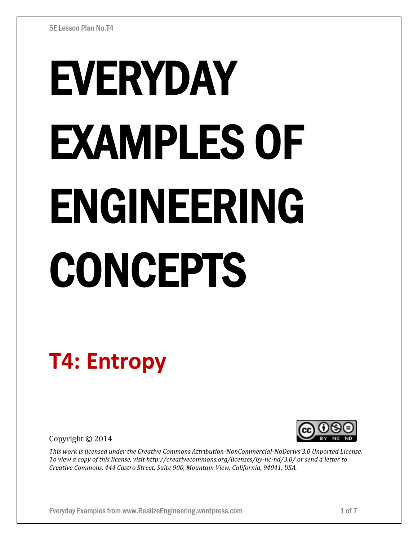# EVERYDAY EXAMPLES OF ENGINEERING CONCEPTS

# **T4: Entropy**

Copyright © 2014



*This work is licensed under the Creative Commons Attribution-NonCommercial-NoDerivs 3.0 Unported License. To view a copy of this license, visit http://creativecommons.org/licenses/by-nc-nd/3.0/ or send a letter to Creative Commons, 444 Castro Street, Suite 900, Mountain View, California, 94041, USA.*

Everyday Examples from www.RealizeEngineering.wordpress.com 1 of 7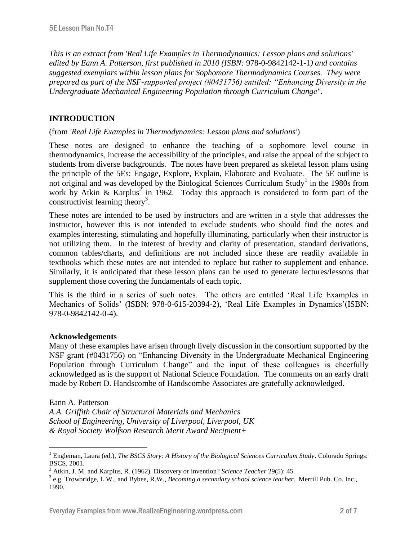*This is an extract from 'Real Life Examples in Thermodynamics: Lesson plans and solutions' edited by Eann A. Patterson, first published in 2010 (ISBN:* 978-0-9842142-1-1*) and contains suggested exemplars within lesson plans for Sophomore Thermodynamics Courses. They were prepared as part of the NSF-supported project (#0431756) entitled: "Enhancing Diversity in the Undergraduate Mechanical Engineering Population through Curriculum Change".* 

# **INTRODUCTION**

# (from *'Real Life Examples in Thermodynamics: Lesson plans and solutions'*)

These notes are designed to enhance the teaching of a sophomore level course in thermodynamics, increase the accessibility of the principles, and raise the appeal of the subject to students from diverse backgrounds. The notes have been prepared as skeletal lesson plans using the principle of the 5Es: Engage, Explore, Explain, Elaborate and Evaluate. The 5E outline is not original and was developed by the Biological Sciences Curriculum Study<sup>1</sup> in the 1980s from work by Atkin & Karplus<sup>2</sup> in 1962. Today this approach is considered to form part of the constructivist learning theory<sup>3</sup>.

These notes are intended to be used by instructors and are written in a style that addresses the instructor, however this is not intended to exclude students who should find the notes and examples interesting, stimulating and hopefully illuminating, particularly when their instructor is not utilizing them. In the interest of brevity and clarity of presentation, standard derivations, common tables/charts, and definitions are not included since these are readily available in textbooks which these notes are not intended to replace but rather to supplement and enhance. Similarly, it is anticipated that these lesson plans can be used to generate lectures/lessons that supplement those covering the fundamentals of each topic.

This is the third in a series of such notes. The others are entitled 'Real Life Examples in Mechanics of Solids' (ISBN: 978-0-615-20394-2), 'Real Life Examples in Dynamics'(ISBN: 978-0-9842142-0-4).

## **Acknowledgements**

Many of these examples have arisen through lively discussion in the consortium supported by the NSF grant (#0431756) on "Enhancing Diversity in the Undergraduate Mechanical Engineering Population through Curriculum Change" and the input of these colleagues is cheerfully acknowledged as is the support of National Science Foundation. The comments on an early draft made by Robert D. Handscombe of Handscombe Associates are gratefully acknowledged.

## Eann A. Patterson

 $\overline{a}$ 

*A.A. Griffith Chair of Structural Materials and Mechanics School of Engineering, University of Liverpool, Liverpool, UK & Royal Society Wolfson Research Merit Award Recipient+*

<sup>&</sup>lt;sup>1</sup> Engleman, Laura (ed.), *The BSCS Story: A History of the Biological Sciences Curriculum Study*. Colorado Springs: BSCS, 2001.

<sup>2</sup> Atkin, J. M. and Karplus, R. (1962). Discovery or invention? *Science Teacher* 29(5): 45.

<sup>3</sup> e.g. Trowbridge, L.W., and Bybee, R.W., *Becoming a secondary school science teacher*. Merrill Pub. Co. Inc., 1990.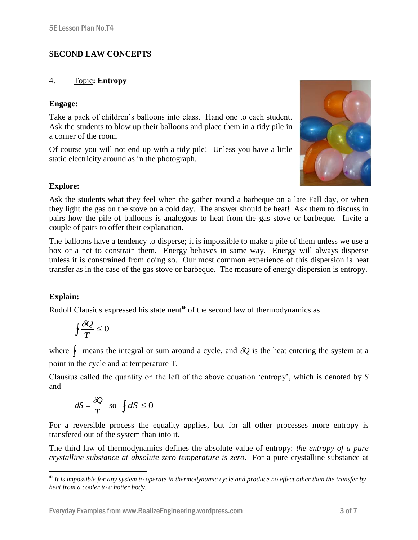# **SECOND LAW CONCEPTS**

# 4. Topic**: Entropy**

# **Engage:**

Take a pack of children's balloons into class. Hand one to each student. Ask the students to blow up their balloons and place them in a tidy pile in a corner of the room.

Of course you will not end up with a tidy pile! Unless you have a little static electricity around as in the photograph.



# **Explore:**

Ask the students what they feel when the gather round a barbeque on a late Fall day, or when they light the gas on the stove on a cold day. The answer should be heat! Ask them to discuss in pairs how the pile of balloons is analogous to heat from the gas stove or barbeque. Invite a couple of pairs to offer their explanation.

The balloons have a tendency to disperse; it is impossible to make a pile of them unless we use a box or a net to constrain them. Energy behaves in same way. Energy will always disperse unless it is constrained from doing so. Our most common experience of this dispersion is heat transfer as in the case of the gas stove or barbeque. The measure of energy dispersion is entropy.

# **Explain:**

Rudolf Clausius expressed his statement<sup> $\bullet$ </sup> of the second law of thermodynamics as

$$
\oint \frac{\delta Q}{T} \leq 0
$$

where  $\int$ means the integral or sum around a cycle, and  $\delta Q$  is the heat entering the system at a point in the cycle and at temperature T.

Clausius called the quantity on the left of the above equation 'entropy', which is denoted by *S* and

$$
dS = \frac{\delta Q}{T} \text{ so } \oint dS \le 0
$$

For a reversible process the equality applies, but for all other processes more entropy is transfered out of the system than into it.

The third law of thermodynamics defines the absolute value of entropy: *the entropy of a pure crystalline substance at absolute zero temperature is zero*. For a pure crystalline substance at

 $\overline{a}$  *It is impossible for any system to operate in thermodynamic cycle and produce no effect other than the transfer by heat from a cooler to a hotter body.*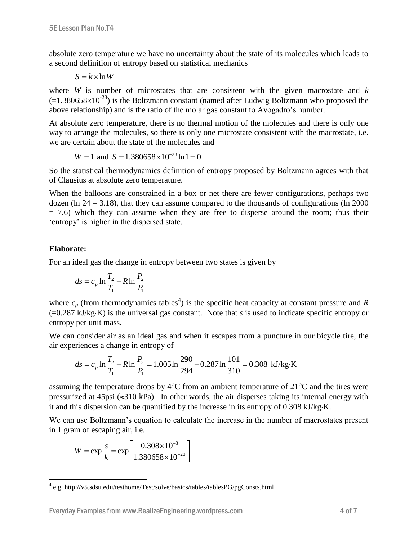absolute zero temperature we have no uncertainty about the state of its molecules which leads to a second definition of entropy based on statistical mechanics

$$
S = k \times \ln W
$$

where *W* is number of microstates that are consistent with the given macrostate and *k*  $(=1.380658\times10^{-23})$  is the Boltzmann constant (named after Ludwig Boltzmann who proposed the above relationship) and is the ratio of the molar gas constant to Avogadro's number.

At absolute zero temperature, there is no thermal motion of the molecules and there is only one way to arrange the molecules, so there is only one microstate consistent with the macrostate, i.e. we are certain about the state of the molecules and

$$
W = 1
$$
 and  $S = 1.380658 \times 10^{-23} \ln 1 = 0$ 

So the statistical thermodynamics definition of entropy proposed by Boltzmann agrees with that of Clausius at absolute zero temperature.

When the balloons are constrained in a box or net there are fewer configurations, perhaps two dozen (ln  $24 = 3.18$ ), that they can assume compared to the thousands of configurations (ln 2000)  $= 7.6$ ) which they can assume when they are free to disperse around the room; thus their 'entropy' is higher in the dispersed state.

#### **Elaborate:**

For an ideal gas the change in entropy between two states is given by

$$
ds = c_p \ln \frac{T_2}{T_1} - R \ln \frac{P_2}{P_1}
$$

where  $c_p$  (from thermodynamics tables<sup>4</sup>) is the specific heat capacity at constant pressure and *R* (=0.287 kJ/kgK) is the universal gas constant. Note that *s* is used to indicate specific entropy or entropy per unit mass.

We can consider air as an ideal gas and when it escapes from a puncture in our bicycle tire, the air experiences a change in entropy of

$$
ds = c_p \ln \frac{T_2}{T_1} - R \ln \frac{P_2}{P_1} = 1.005 \ln \frac{290}{294} - 0.287 \ln \frac{101}{310} = 0.308 \text{ kJ/kg} \cdot \text{K}
$$

assuming the temperature drops by  $4^{\circ}C$  from an ambient temperature of  $21^{\circ}C$  and the tires were pressurized at 45psi ( $\approx$ 310 kPa). In other words, the air disperses taking its internal energy with it and this dispersion can be quantified by the increase in its entropy of 0.308 kJ/kg·K.

We can use Boltzmann's equation to calculate the increase in the number of macrostates present in 1 gram of escaping air, i.e.

$$
W = \exp\frac{s}{k} = \exp\left[\frac{0.308 \times 10^{-3}}{1.380658 \times 10^{-23}}\right]
$$

 4 e.g. http://v5.sdsu.edu/testhome/Test/solve/basics/tables/tablesPG/pgConsts.html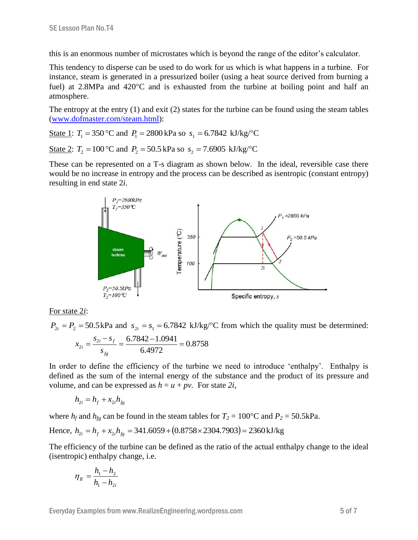this is an enormous number of microstates which is beyond the range of the editor's calculator.

This tendency to disperse can be used to do work for us which is what happens in a turbine. For instance, steam is generated in a pressurized boiler (using a heat source derived from burning a fuel) at  $2.8\text{MPa}$  and  $420^{\circ}\text{C}$  and is exhausted from the turbine at boiling point and half an atmosphere.

The entropy at the entry (1) and exit (2) states for the turbine can be found using the steam tables [\(www.dofmaster.com/steam.html\)](http://www.dofmaster.com/steam.html):

State 1:  $T_1 = 350 \degree \text{C}$  and  $P_1 = 2800 \text{ kPa}$  so  $s_1 = 6.7842 \text{ kJ/kg} \degree \text{C}$ 

State 2:  $T_2 = 100 \degree \text{C}$  and  $P_2 = 50.5 \text{ kPa}$  so  $s_2 = 7.6905 \text{ kJ/kg} \degree \text{C}$ 

These can be represented on a T-s diagram as shown below. In the ideal, reversible case there would be no increase in entropy and the process can be described as isentropic (constant entropy) resulting in end state 2*i*.



For state 2*i*:

 $P_{2i} = P_2 = 50.5 \text{ kPa}$  and  $s_{2i} = s_1 = 6.7842 \text{ kJ/kg}^{\circ} \text{C}$  from which the quality must be determined:

$$
x_{2i} = \frac{s_{2i} - s_f}{s_{fg}} = \frac{6.7842 - 1.0941}{6.4972} = 0.8758
$$

In order to define the efficiency of the turbine we need to introduce 'enthalpy'. Enthalpy is defined as the sum of the internal energy of the substance and the product of its pressure and volume, and can be expressed as  $h = u + pv$ . For state 2*i*,

$$
h_{2i} = h_f + x_{2i}h_{fg}
$$

where  $h_f$  and  $h_{fg}$  can be found in the steam tables for  $T_2 = 100\degree$ C and  $P_2 = 50.5$ kPa.

Hence, 
$$
h_{2i} = h_f + x_{2i}h_{fg} = 341.6059 + (0.8758 \times 2304.7903) = 2360 \text{ kJ/kg}
$$

The efficiency of the turbine can be defined as the ratio of the actual enthalpy change to the ideal (isentropic) enthalpy change, i.e.

$$
\eta_{II} = \frac{h_1 - h_2}{h_1 - h_{2i}}
$$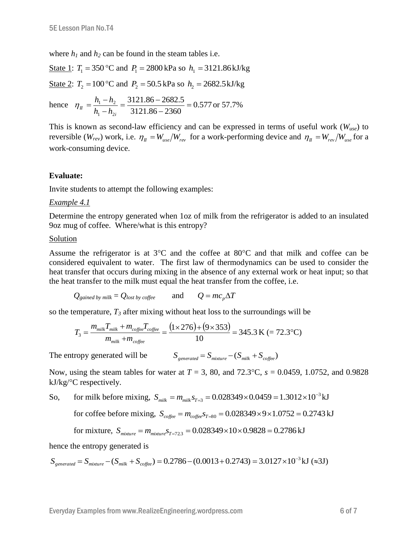where  $h_1$  and  $h_2$  can be found in the steam tables i.e.

State 1:  $T_1 = 350$  °C and  $P_1 = 2800$  kPa so  $h_1 = 3121.86$  kJ/kg

State 2:  $T_2 = 100 \degree \text{C}$  and  $P_2 = 50.5 \text{ kPa}$  so  $h_2 = 2682.5 \text{ kJ/kg}$ 

hence  $\eta_{\mu} = \frac{n_1 n_2}{1 \cdot 1} = \frac{3121.00}{3421.05 \cdot 2002.5} = 0.577$  $3121.86 - 2360$  $3121.86 - 2682.5$  $1 - \mu_2$  $\frac{1 - n_2}{1} = \frac{3121.00 - 2002.3}{2121.00 - 2002.3} =$  $\overline{a}$  $=\frac{3121.86-}{212.86}$  $\overline{a}$  $=\frac{h_1-}{h_2}$  $\frac{1}{n} - \frac{1}{n_1 - n_2}$  $h_1 - h$  $\eta_{\scriptscriptstyle H} = \frac{n_1 n_2}{1 \cdot 1 \cdot 1} = \frac{3121.00}{2121.05 \cdot 1000} = 0.577 \text{ or } 57.7\%$ 

This is known as second-law efficiency and can be expressed in terms of useful work (*Wuse*) to reversible ( $W_{rev}$ ) work, i.e.  $\eta_{II} = W_{use}/W_{rev}$  for a work-performing device and  $\eta_{II} = W_{rev}/W_{use}$  for a work-consuming device.

#### **Evaluate:**

Invite students to attempt the following examples:

#### *Example 4.1*

Determine the entropy generated when 1oz of milk from the refrigerator is added to an insulated 9oz mug of coffee. Where/what is this entropy?

#### Solution

Assume the refrigerator is at  $3^{\circ}C$  and the coffee at  $80^{\circ}C$  and that milk and coffee can be considered equivalent to water. The first law of thermodynamics can be used to consider the heat transfer that occurs during mixing in the absence of any external work or heat input; so that the heat transfer to the milk must equal the heat transfer from the coffee, i.e.

$$
Q_{gained\ by\ milk} = Q_{lost\ by\ coffee}
$$
 and  $Q = mc_p \Delta T$ 

so the temperature,  $T_3$  after mixing without heat loss to the surroundings will be

$$
T_3 = \frac{m_{milk}T_{milk} + m_{coffee}T_{coffee}}{m_{milk} + m_{coffee}} = \frac{(1 \times 276) + (9 \times 353)}{10} = 345.3 \text{ K} (= 72.3^{\circ}\text{C})
$$

The entropy generated will be  $S_{generated} = S_{mixture} - (S_{milk} + S_{cofree})$ 

Now, using the steam tables for water at  $T = 3$ , 80, and 72.3°C,  $s = 0.0459$ , 1.0752, and 0.9828 kJ/kg/°C respectively.

So, for milk before mixing,  $S_{milk} = m_{milk} s_{T=3} = 0.028349 \times 0.0459 = 1.3012 \times 10^{-3} \text{ kJ}$ 

for coffee before mixing,  $S_{coffee} = m_{coffee} s_{T=80} = 0.028349 \times 9 \times 1.0752 = 0.2743 \text{ kJ}$ 

for mixture, 
$$
S_{mixture} = m_{mixture} s_{T=723} = 0.028349 \times 10 \times 0.9828 = 0.2786 \text{ kJ}
$$

hence the entropy generated is

$$
S_{generated} = S_{mixture} - (S_{milk} + S_{coffee}) = 0.2786 - (0.0013 + 0.2743) = 3.0127 \times 10^{-3} \text{ kJ} \ (\approx 3 \text{J})
$$